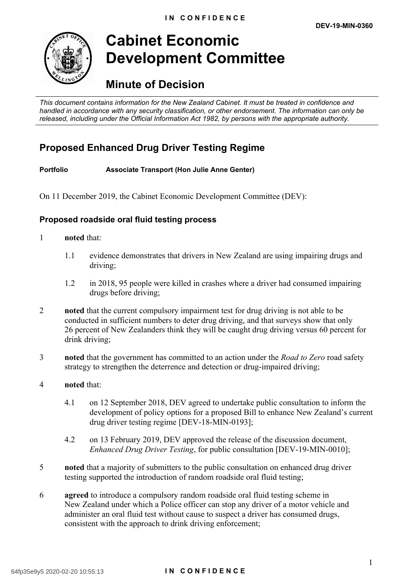

# **Cabinet Economic Development Committee**

# **Minute of Decision**

*This document contains information for the New Zealand Cabinet. It must be treated in confidence and handled in accordance with any security classification, or other endorsement. The information can only be released, including under the Official Information Act 1982, by persons with the appropriate authority.*

# **Proposed Enhanced Drug Driver Testing Regime**

**Portfolio Associate Transport (Hon Julie Anne Genter)**

On 11 December 2019, the Cabinet Economic Development Committee (DEV):

#### **Proposed roadside oral fluid testing process**

- 1 **noted** that:
	- 1.1 evidence demonstrates that drivers in New Zealand are using impairing drugs and driving;
	- 1.2 in 2018, 95 people were killed in crashes where a driver had consumed impairing drugs before driving;
- 2 **noted** that the current compulsory impairment test for drug driving is not able to be conducted in sufficient numbers to deter drug driving, and that surveys show that only 26 percent of New Zealanders think they will be caught drug driving versus 60 percent for drink driving;
- 3 **noted** that the government has committed to an action under the *Road to Zero* road safety strategy to strengthen the deterrence and detection or drug-impaired driving;
- 4 **noted** that:
	- 4.1 on 12 September 2018, DEV agreed to undertake public consultation to inform the development of policy options for a proposed Bill to enhance New Zealand's current drug driver testing regime [DEV-18-MIN-0193];
	- 4.2 on 13 February 2019, DEV approved the release of the discussion document, *Enhanced Drug Driver Testing*, for public consultation [DEV-19-MIN-0010];
- 5 **noted** that a majority of submitters to the public consultation on enhanced drug driver testing supported the introduction of random roadside oral fluid testing;
- 6 **agreed** to introduce a compulsory random roadside oral fluid testing scheme in New Zealand under which a Police officer can stop any driver of a motor vehicle and administer an oral fluid test without cause to suspect a driver has consumed drugs, consistent with the approach to drink driving enforcement;

#### 64fp35e9y5 2020-02-20 10:55:13 **I N C O N F I D E N C E**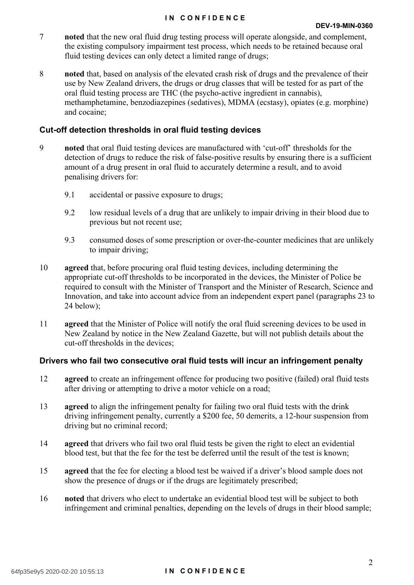- 7 **noted** that the new oral fluid drug testing process will operate alongside, and complement, the existing compulsory impairment test process, which needs to be retained because oral fluid testing devices can only detect a limited range of drugs;
- 8 **noted** that, based on analysis of the elevated crash risk of drugs and the prevalence of their use by New Zealand drivers, the drugs or drug classes that will be tested for as part of the oral fluid testing process are THC (the psycho-active ingredient in cannabis), methamphetamine, benzodiazepines (sedatives), MDMA (ecstasy), opiates (e.g. morphine) and cocaine;

#### **Cut-off detection thresholds in oral fluid testing devices**

- 9 **noted** that oral fluid testing devices are manufactured with 'cut-off' thresholds for the detection of drugs to reduce the risk of false-positive results by ensuring there is a sufficient amount of a drug present in oral fluid to accurately determine a result, and to avoid penalising drivers for:
	- 9.1 accidental or passive exposure to drugs;
	- 9.2 low residual levels of a drug that are unlikely to impair driving in their blood due to previous but not recent use;
	- 9.3 consumed doses of some prescription or over-the-counter medicines that are unlikely to impair driving;
- 10 **agreed** that, before procuring oral fluid testing devices, including determining the appropriate cut-off thresholds to be incorporated in the devices, the Minister of Police be required to consult with the Minister of Transport and the Minister of Research, Science and Innovation, and take into account advice from an independent expert panel (paragraphs 23 to 24 below);
- 11 **agreed** that the Minister of Police will notify the oral fluid screening devices to be used in New Zealand by notice in the New Zealand Gazette, but will not publish details about the cut-off thresholds in the devices;

### **Drivers who fail two consecutive oral fluid tests will incur an infringement penalty**

- 12 **agreed** to create an infringement offence for producing two positive (failed) oral fluid tests after driving or attempting to drive a motor vehicle on a road;
- 13 **agreed** to align the infringement penalty for failing two oral fluid tests with the drink driving infringement penalty, currently a \$200 fee, 50 demerits, a 12-hour suspension from driving but no criminal record;
- 14 **agreed** that drivers who fail two oral fluid tests be given the right to elect an evidential blood test, but that the fee for the test be deferred until the result of the test is known;
- 15 **agreed** that the fee for electing a blood test be waived if a driver's blood sample does not show the presence of drugs or if the drugs are legitimately prescribed;
- 16 **noted** that drivers who elect to undertake an evidential blood test will be subject to both infringement and criminal penalties, depending on the levels of drugs in their blood sample;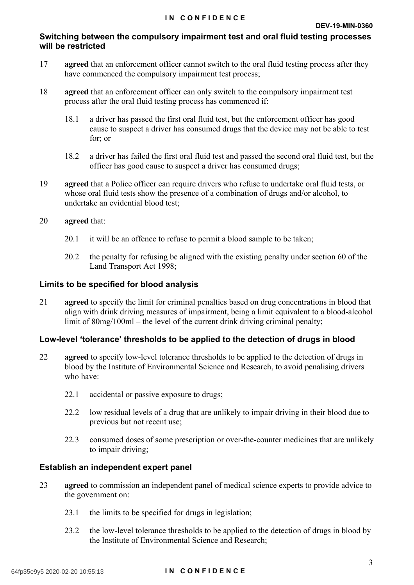#### **Switching between the compulsory impairment test and oral fluid testing processes will be restricted**

- 17 **agreed** that an enforcement officer cannot switch to the oral fluid testing process after they have commenced the compulsory impairment test process;
- 18 **agreed** that an enforcement officer can only switch to the compulsory impairment test process after the oral fluid testing process has commenced if:
	- 18.1 a driver has passed the first oral fluid test, but the enforcement officer has good cause to suspect a driver has consumed drugs that the device may not be able to test for; or
	- 18.2 a driver has failed the first oral fluid test and passed the second oral fluid test, but the officer has good cause to suspect a driver has consumed drugs;
- 19 **agreed** that a Police officer can require drivers who refuse to undertake oral fluid tests, or whose oral fluid tests show the presence of a combination of drugs and/or alcohol, to undertake an evidential blood test;
- 20 **agreed** that:
	- 20.1 it will be an offence to refuse to permit a blood sample to be taken;
	- 20.2 the penalty for refusing be aligned with the existing penalty under section 60 of the Land Transport Act 1998;

#### **Limits to be specified for blood analysis**

21 **agreed** to specify the limit for criminal penalties based on drug concentrations in blood that align with drink driving measures of impairment, being a limit equivalent to a blood-alcohol limit of 80mg/100ml – the level of the current drink driving criminal penalty;

#### **Low-level 'tolerance' thresholds to be applied to the detection of drugs in blood**

- 22 **agreed** to specify low-level tolerance thresholds to be applied to the detection of drugs in blood by the Institute of Environmental Science and Research, to avoid penalising drivers who have:
	- 22.1 accidental or passive exposure to drugs;
	- 22.2 low residual levels of a drug that are unlikely to impair driving in their blood due to previous but not recent use;
	- 22.3 consumed doses of some prescription or over-the-counter medicines that are unlikely to impair driving;

#### **Establish an independent expert panel**

- 23 **agreed** to commission an independent panel of medical science experts to provide advice to the government on:
	- 23.1 the limits to be specified for drugs in legislation;
	- 23.2 the low-level tolerance thresholds to be applied to the detection of drugs in blood by the Institute of Environmental Science and Research;

#### 64fp35e9y5 2020-02-20 10:55:13 **I N C O N F I D E N C E**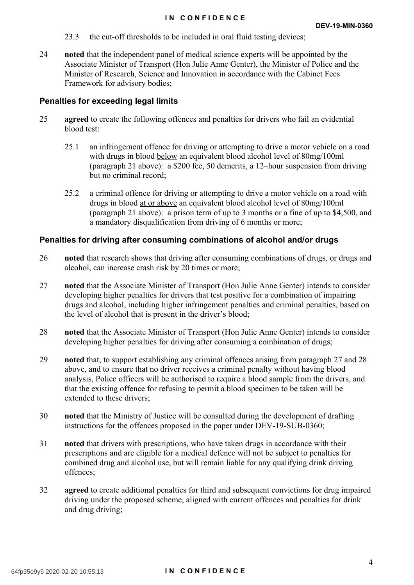- 23.3 the cut-off thresholds to be included in oral fluid testing devices;
- 24 **noted** that the independent panel of medical science experts will be appointed by the Associate Minister of Transport (Hon Julie Anne Genter), the Minister of Police and the Minister of Research, Science and Innovation in accordance with the Cabinet Fees Framework for advisory bodies;

#### **Penalties for exceeding legal limits**

- 25 **agreed** to create the following offences and penalties for drivers who fail an evidential blood test:
	- 25.1 an infringement offence for driving or attempting to drive a motor vehicle on a road with drugs in blood below an equivalent blood alcohol level of 80mg/100ml (paragraph 21 above): a \$200 fee, 50 demerits, a 12–hour suspension from driving but no criminal record;
	- 25.2 a criminal offence for driving or attempting to drive a motor vehicle on a road with drugs in blood at or above an equivalent blood alcohol level of 80mg/100ml (paragraph 21 above): a prison term of up to 3 months or a fine of up to \$4,500, and a mandatory disqualification from driving of 6 months or more;

#### **Penalties for driving after consuming combinations of alcohol and/or drugs**

- 26 **noted** that research shows that driving after consuming combinations of drugs, or drugs and alcohol, can increase crash risk by 20 times or more;
- 27 **noted** that the Associate Minister of Transport (Hon Julie Anne Genter) intends to consider developing higher penalties for drivers that test positive for a combination of impairing drugs and alcohol, including higher infringement penalties and criminal penalties, based on the level of alcohol that is present in the driver's blood;
- 28 **noted** that the Associate Minister of Transport (Hon Julie Anne Genter) intends to consider developing higher penalties for driving after consuming a combination of drugs;
- 29 **noted** that, to support establishing any criminal offences arising from paragraph 27 and 28 above, and to ensure that no driver receives a criminal penalty without having blood analysis, Police officers will be authorised to require a blood sample from the drivers, and that the existing offence for refusing to permit a blood specimen to be taken will be extended to these drivers:
- 30 **noted** that the Ministry of Justice will be consulted during the development of drafting instructions for the offences proposed in the paper under DEV-19-SUB-0360;
- 31 **noted** that drivers with prescriptions, who have taken drugs in accordance with their prescriptions and are eligible for a medical defence will not be subject to penalties for combined drug and alcohol use, but will remain liable for any qualifying drink driving offences;
- 32 **agreed** to create additional penalties for third and subsequent convictions for drug impaired driving under the proposed scheme, aligned with current offences and penalties for drink and drug driving;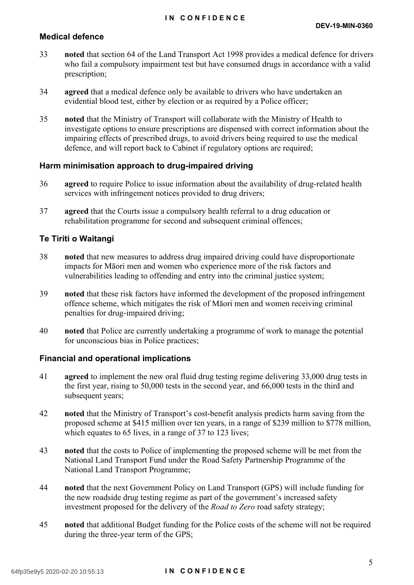#### **Medical defence**

- 33 **noted** that section 64 of the Land Transport Act 1998 provides a medical defence for drivers who fail a compulsory impairment test but have consumed drugs in accordance with a valid prescription;
- 34 **agreed** that a medical defence only be available to drivers who have undertaken an evidential blood test, either by election or as required by a Police officer;
- 35 **noted** that the Ministry of Transport will collaborate with the Ministry of Health to investigate options to ensure prescriptions are dispensed with correct information about the impairing effects of prescribed drugs, to avoid drivers being required to use the medical defence, and will report back to Cabinet if regulatory options are required;

#### **Harm minimisation approach to drug-impaired driving**

- 36 **agreed** to require Police to issue information about the availability of drug-related health services with infringement notices provided to drug drivers;
- 37 **agreed** that the Courts issue a compulsory health referral to a drug education or rehabilitation programme for second and subsequent criminal offences;

#### **Te Tiriti o Waitangi**

- 38 **noted** that new measures to address drug impaired driving could have disproportionate impacts for Māori men and women who experience more of the risk factors and vulnerabilities leading to offending and entry into the criminal justice system;
- 39 **noted** that these risk factors have informed the development of the proposed infringement offence scheme, which mitigates the risk of Māori men and women receiving criminal penalties for drug-impaired driving;
- 40 **noted** that Police are currently undertaking a programme of work to manage the potential for unconscious bias in Police practices;

#### **Financial and operational implications**

- 41 **agreed** to implement the new oral fluid drug testing regime delivering 33,000 drug tests in the first year, rising to 50,000 tests in the second year, and 66,000 tests in the third and subsequent years;
- 42 **noted** that the Ministry of Transport's cost-benefit analysis predicts harm saving from the proposed scheme at \$415 million over ten years, in a range of \$239 million to \$778 million, which equates to 65 lives, in a range of 37 to 123 lives;
- 43 **noted** that the costs to Police of implementing the proposed scheme will be met from the National Land Transport Fund under the Road Safety Partnership Programme of the National Land Transport Programme;
- 44 **noted** that the next Government Policy on Land Transport (GPS) will include funding for the new roadside drug testing regime as part of the government's increased safety investment proposed for the delivery of the *Road to Zero* road safety strategy;
- 45 **noted** that additional Budget funding for the Police costs of the scheme will not be required during the three-year term of the GPS;

#### 64fp35e9y5 2020-02-20 10:55:13 **I N C O N F I D E N C E**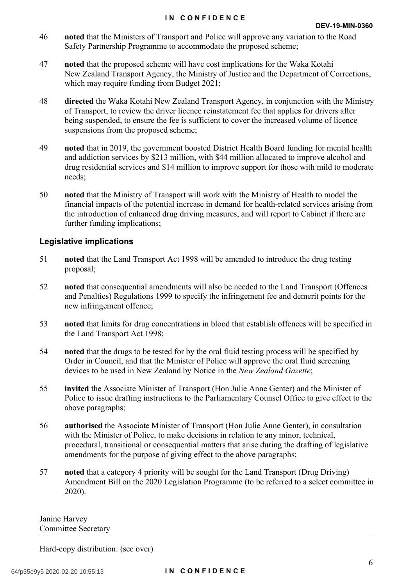- 46 **noted** that the Ministers of Transport and Police will approve any variation to the Road Safety Partnership Programme to accommodate the proposed scheme;
- 47 **noted** that the proposed scheme will have cost implications for the Waka Kotahi New Zealand Transport Agency, the Ministry of Justice and the Department of Corrections, which may require funding from Budget 2021;
- 48 **directed** the Waka Kotahi New Zealand Transport Agency, in conjunction with the Ministry of Transport, to review the driver licence reinstatement fee that applies for drivers after being suspended, to ensure the fee is sufficient to cover the increased volume of licence suspensions from the proposed scheme;
- 49 **noted** that in 2019, the government boosted District Health Board funding for mental health and addiction services by \$213 million, with \$44 million allocated to improve alcohol and drug residential services and \$14 million to improve support for those with mild to moderate needs;
- 50 **noted** that the Ministry of Transport will work with the Ministry of Health to model the financial impacts of the potential increase in demand for health-related services arising from the introduction of enhanced drug driving measures, and will report to Cabinet if there are further funding implications;

#### **Legislative implications**

- 51 **noted** that the Land Transport Act 1998 will be amended to introduce the drug testing proposal;
- 52 **noted** that consequential amendments will also be needed to the Land Transport (Offences and Penalties) Regulations 1999 to specify the infringement fee and demerit points for the new infringement offence;
- 53 **noted** that limits for drug concentrations in blood that establish offences will be specified in the Land Transport Act 1998;
- 54 **noted** that the drugs to be tested for by the oral fluid testing process will be specified by Order in Council, and that the Minister of Police will approve the oral fluid screening devices to be used in New Zealand by Notice in the *New Zealand Gazette*;
- 55 **invited** the Associate Minister of Transport (Hon Julie Anne Genter) and the Minister of Police to issue drafting instructions to the Parliamentary Counsel Office to give effect to the above paragraphs;
- 56 **authorised** the Associate Minister of Transport (Hon Julie Anne Genter), in consultation with the Minister of Police, to make decisions in relation to any minor, technical, procedural, transitional or consequential matters that arise during the drafting of legislative amendments for the purpose of giving effect to the above paragraphs;
- 57 **noted** that a category 4 priority will be sought for the Land Transport (Drug Driving) Amendment Bill on the 2020 Legislation Programme (to be referred to a select committee in 2020).

Janine Harvey Committee Secretary

Hard-copy distribution: (see over)